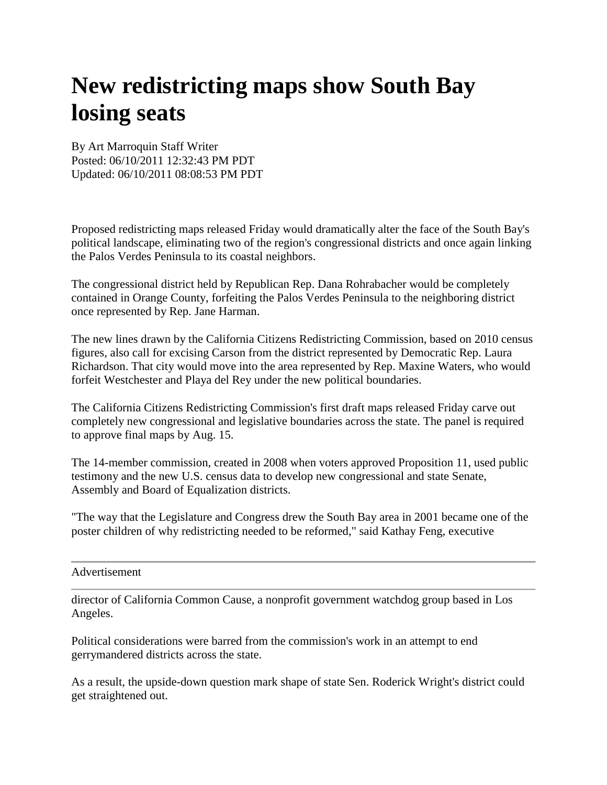## **New redistricting maps show South Bay losing seats**

By Art Marroquin Staff Writer Posted: 06/10/2011 12:32:43 PM PDT Updated: 06/10/2011 08:08:53 PM PDT

Proposed redistricting maps released Friday would dramatically alter the face of the South Bay's political landscape, eliminating two of the region's congressional districts and once again linking the Palos Verdes Peninsula to its coastal neighbors.

The congressional district held by Republican Rep. Dana Rohrabacher would be completely contained in Orange County, forfeiting the Palos Verdes Peninsula to the neighboring district once represented by Rep. Jane Harman.

The new lines drawn by the California Citizens Redistricting Commission, based on 2010 census figures, also call for excising Carson from the district represented by Democratic Rep. Laura Richardson. That city would move into the area represented by Rep. Maxine Waters, who would forfeit Westchester and Playa del Rey under the new political boundaries.

The California Citizens Redistricting Commission's first draft maps released Friday carve out completely new congressional and legislative boundaries across the state. The panel is required to approve final maps by Aug. 15.

The 14-member commission, created in 2008 when voters approved Proposition 11, used public testimony and the new U.S. census data to develop new congressional and state Senate, Assembly and Board of Equalization districts.

"The way that the Legislature and Congress drew the South Bay area in 2001 became one of the poster children of why redistricting needed to be reformed," said Kathay Feng, executive

Advertisement

director of California Common Cause, a nonprofit government watchdog group based in Los Angeles.

Political considerations were barred from the commission's work in an attempt to end gerrymandered districts across the state.

As a result, the upside-down question mark shape of state Sen. Roderick Wright's district could get straightened out.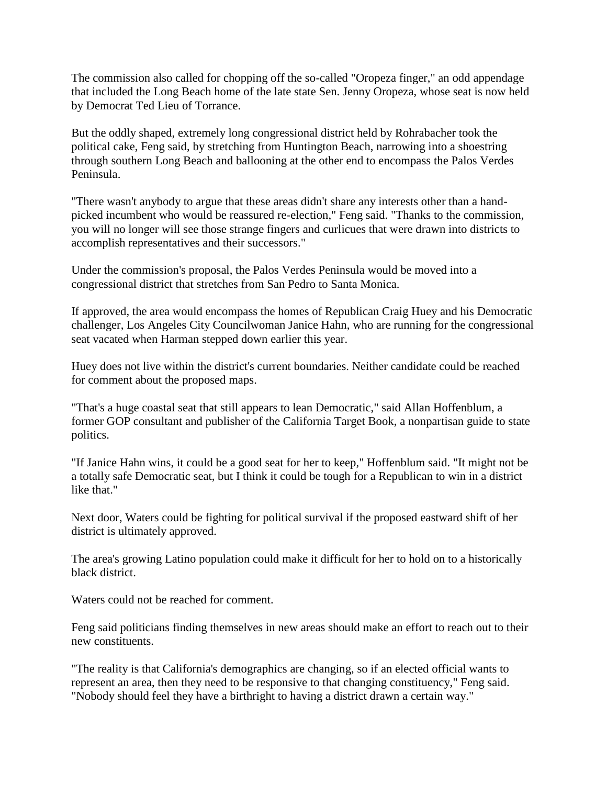The commission also called for chopping off the so-called "Oropeza finger," an odd appendage that included the Long Beach home of the late state Sen. Jenny Oropeza, whose seat is now held by Democrat Ted Lieu of Torrance.

But the oddly shaped, extremely long congressional district held by Rohrabacher took the political cake, Feng said, by stretching from Huntington Beach, narrowing into a shoestring through southern Long Beach and ballooning at the other end to encompass the Palos Verdes Peninsula.

"There wasn't anybody to argue that these areas didn't share any interests other than a handpicked incumbent who would be reassured re-election," Feng said. "Thanks to the commission, you will no longer will see those strange fingers and curlicues that were drawn into districts to accomplish representatives and their successors."

Under the commission's proposal, the Palos Verdes Peninsula would be moved into a congressional district that stretches from San Pedro to Santa Monica.

If approved, the area would encompass the homes of Republican Craig Huey and his Democratic challenger, Los Angeles City Councilwoman Janice Hahn, who are running for the congressional seat vacated when Harman stepped down earlier this year.

Huey does not live within the district's current boundaries. Neither candidate could be reached for comment about the proposed maps.

"That's a huge coastal seat that still appears to lean Democratic," said Allan Hoffenblum, a former GOP consultant and publisher of the California Target Book, a nonpartisan guide to state politics.

"If Janice Hahn wins, it could be a good seat for her to keep," Hoffenblum said. "It might not be a totally safe Democratic seat, but I think it could be tough for a Republican to win in a district like that."

Next door, Waters could be fighting for political survival if the proposed eastward shift of her district is ultimately approved.

The area's growing Latino population could make it difficult for her to hold on to a historically black district.

Waters could not be reached for comment.

Feng said politicians finding themselves in new areas should make an effort to reach out to their new constituents.

"The reality is that California's demographics are changing, so if an elected official wants to represent an area, then they need to be responsive to that changing constituency," Feng said. "Nobody should feel they have a birthright to having a district drawn a certain way."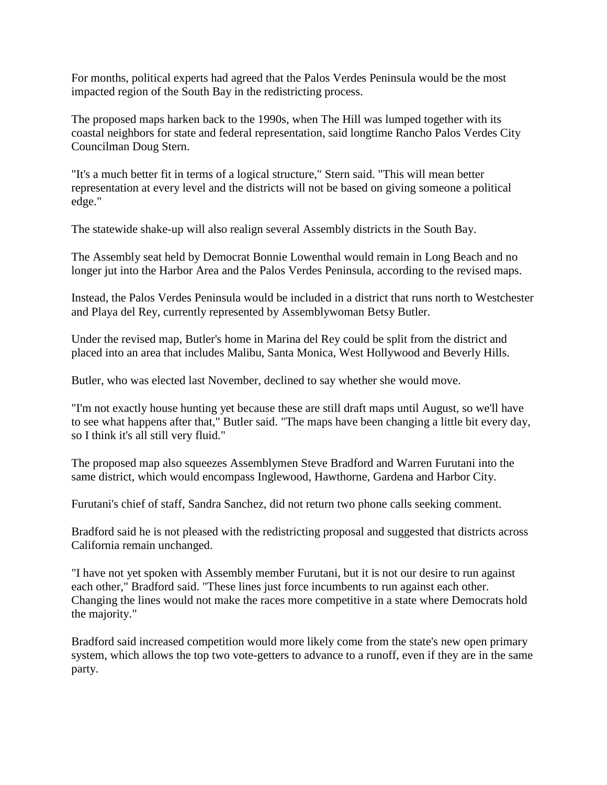For months, political experts had agreed that the Palos Verdes Peninsula would be the most impacted region of the South Bay in the redistricting process.

The proposed maps harken back to the 1990s, when The Hill was lumped together with its coastal neighbors for state and federal representation, said longtime Rancho Palos Verdes City Councilman Doug Stern.

"It's a much better fit in terms of a logical structure," Stern said. "This will mean better representation at every level and the districts will not be based on giving someone a political edge."

The statewide shake-up will also realign several Assembly districts in the South Bay.

The Assembly seat held by Democrat Bonnie Lowenthal would remain in Long Beach and no longer jut into the Harbor Area and the Palos Verdes Peninsula, according to the revised maps.

Instead, the Palos Verdes Peninsula would be included in a district that runs north to Westchester and Playa del Rey, currently represented by Assemblywoman Betsy Butler.

Under the revised map, Butler's home in Marina del Rey could be split from the district and placed into an area that includes Malibu, Santa Monica, West Hollywood and Beverly Hills.

Butler, who was elected last November, declined to say whether she would move.

"I'm not exactly house hunting yet because these are still draft maps until August, so we'll have to see what happens after that," Butler said. "The maps have been changing a little bit every day, so I think it's all still very fluid."

The proposed map also squeezes Assemblymen Steve Bradford and Warren Furutani into the same district, which would encompass Inglewood, Hawthorne, Gardena and Harbor City.

Furutani's chief of staff, Sandra Sanchez, did not return two phone calls seeking comment.

Bradford said he is not pleased with the redistricting proposal and suggested that districts across California remain unchanged.

"I have not yet spoken with Assembly member Furutani, but it is not our desire to run against each other," Bradford said. "These lines just force incumbents to run against each other. Changing the lines would not make the races more competitive in a state where Democrats hold the majority."

Bradford said increased competition would more likely come from the state's new open primary system, which allows the top two vote-getters to advance to a runoff, even if they are in the same party.